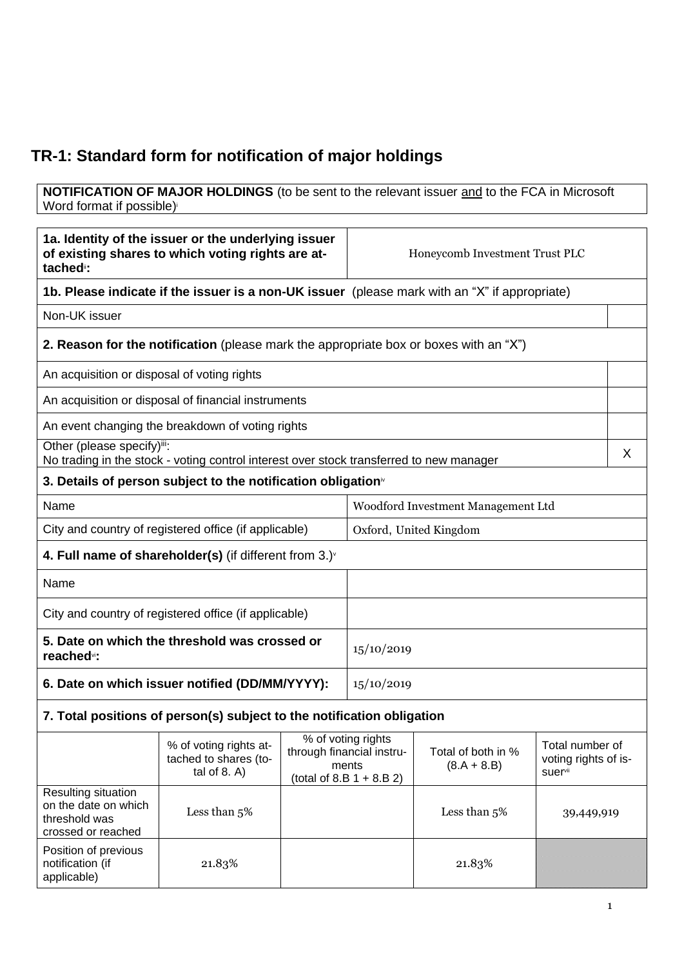## **TR-1: Standard form for notification of major holdings**

**NOTIFICATION OF MAJOR HOLDINGS** (to be sent to the relevant issuer and to the FCA in Microsoft Word format if possible)

| 1a. Identity of the issuer or the underlying issuer<br>of existing shares to which voting rights are at-<br>tached <sup>"</sup> : |                                                                                               | Honeycomb Investment Trust PLC                                                                                                            |                              |                                         |  |   |
|-----------------------------------------------------------------------------------------------------------------------------------|-----------------------------------------------------------------------------------------------|-------------------------------------------------------------------------------------------------------------------------------------------|------------------------------|-----------------------------------------|--|---|
|                                                                                                                                   | 1b. Please indicate if the issuer is a non-UK issuer (please mark with an "X" if appropriate) |                                                                                                                                           |                              |                                         |  |   |
| Non-UK issuer                                                                                                                     |                                                                                               |                                                                                                                                           |                              |                                         |  |   |
|                                                                                                                                   | <b>2. Reason for the notification</b> (please mark the appropriate box or boxes with an "X")  |                                                                                                                                           |                              |                                         |  |   |
| An acquisition or disposal of voting rights                                                                                       |                                                                                               |                                                                                                                                           |                              |                                         |  |   |
|                                                                                                                                   | An acquisition or disposal of financial instruments                                           |                                                                                                                                           |                              |                                         |  |   |
|                                                                                                                                   | An event changing the breakdown of voting rights                                              |                                                                                                                                           |                              |                                         |  |   |
| Other (please specify)iii:                                                                                                        | No trading in the stock - voting control interest over stock transferred to new manager       |                                                                                                                                           |                              |                                         |  | X |
|                                                                                                                                   | 3. Details of person subject to the notification obligation <sup>®</sup>                      |                                                                                                                                           |                              |                                         |  |   |
| Name                                                                                                                              |                                                                                               |                                                                                                                                           |                              | Woodford Investment Management Ltd      |  |   |
| City and country of registered office (if applicable)                                                                             |                                                                                               | Oxford, United Kingdom                                                                                                                    |                              |                                         |  |   |
| 4. Full name of shareholder(s) (if different from $3.$ ) $\sqrt{ }$                                                               |                                                                                               |                                                                                                                                           |                              |                                         |  |   |
| Name                                                                                                                              |                                                                                               |                                                                                                                                           |                              |                                         |  |   |
| City and country of registered office (if applicable)                                                                             |                                                                                               |                                                                                                                                           |                              |                                         |  |   |
| 5. Date on which the threshold was crossed or<br>15/10/2019<br>reached <sup>vi</sup> :                                            |                                                                                               |                                                                                                                                           |                              |                                         |  |   |
| 6. Date on which issuer notified (DD/MM/YYYY):                                                                                    |                                                                                               |                                                                                                                                           | 15/10/2019                   |                                         |  |   |
| 7. Total positions of person(s) subject to the notification obligation                                                            |                                                                                               |                                                                                                                                           |                              |                                         |  |   |
|                                                                                                                                   | % of voting rights at-<br>tached to shares (to-<br>tal of $8. A$ )                            | % of voting rights<br>Total of both in %<br>through financial instru-<br>ments<br>$(8.A + 8.B)$<br>suervii<br>(total of 8.B $1 + 8.B 2$ ) |                              | Total number of<br>voting rights of is- |  |   |
| Resulting situation<br>on the date on which<br>threshold was<br>crossed or reached                                                | Less than $5\%$                                                                               |                                                                                                                                           | Less than $5%$<br>39,449,919 |                                         |  |   |
| Position of previous<br>notification (if<br>applicable)                                                                           | 21.83%                                                                                        |                                                                                                                                           |                              | 21.83%                                  |  |   |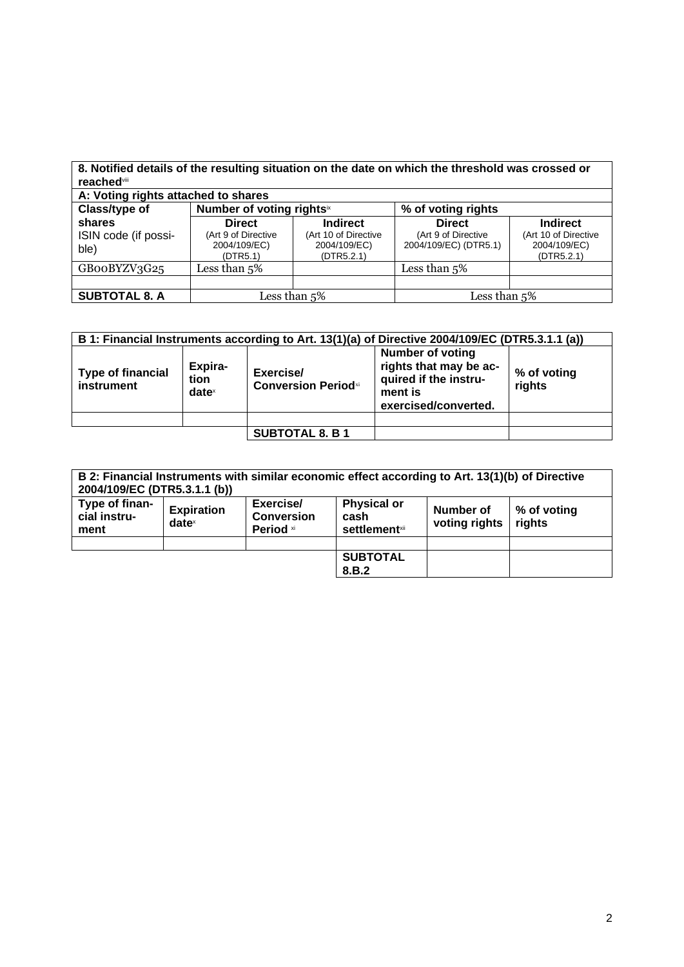| <b>reached</b> viii          |                                                 |                                                    | 8. Notified details of the resulting situation on the date on which the threshold was crossed or |                                                    |  |
|------------------------------|-------------------------------------------------|----------------------------------------------------|--------------------------------------------------------------------------------------------------|----------------------------------------------------|--|
|                              | A: Voting rights attached to shares             |                                                    |                                                                                                  |                                                    |  |
| Class/type of                | Number of voting rightsix                       |                                                    | % of voting rights                                                                               |                                                    |  |
| shares                       | <b>Direct</b>                                   | <b>Indirect</b>                                    | <b>Direct</b>                                                                                    | <b>Indirect</b>                                    |  |
| ISIN code (if possi-<br>ble) | (Art 9 of Directive<br>2004/109/EC)<br>(DTR5.1) | (Art 10 of Directive<br>2004/109/EC)<br>(DTR5.2.1) | (Art 9 of Directive<br>2004/109/EC) (DTR5.1)                                                     | (Art 10 of Directive<br>2004/109/EC)<br>(DTR5.2.1) |  |
| GBooBYZV3G25                 | Less than $5\%$                                 |                                                    | Less than $5\%$                                                                                  |                                                    |  |
|                              |                                                 |                                                    |                                                                                                  |                                                    |  |
| <b>SUBTOTAL 8. A</b>         | Less than 5%                                    |                                                    | Less than 5%                                                                                     |                                                    |  |

| B 1: Financial Instruments according to Art. 13(1)(a) of Directive 2004/109/EC (DTR5.3.1.1 (a)) |                                      |                                         |                                                                                                               |                       |
|-------------------------------------------------------------------------------------------------|--------------------------------------|-----------------------------------------|---------------------------------------------------------------------------------------------------------------|-----------------------|
| <b>Type of financial</b><br>instrument                                                          | Expira-<br>tion<br>date <sup>x</sup> | Exercise/<br><b>Conversion Periodxi</b> | <b>Number of voting</b><br>rights that may be ac-<br>quired if the instru-<br>ment is<br>exercised/converted. | % of voting<br>rights |
|                                                                                                 |                                      |                                         |                                                                                                               |                       |
|                                                                                                 |                                      | <b>SUBTOTAL 8. B 1</b>                  |                                                                                                               |                       |

| 2004/109/EC (DTR5.3.1.1 (b))           |                               |                                             | B 2: Financial Instruments with similar economic effect according to Art. 13(1)(b) of Directive |                                   |                       |
|----------------------------------------|-------------------------------|---------------------------------------------|-------------------------------------------------------------------------------------------------|-----------------------------------|-----------------------|
| Type of finan-<br>cial instru-<br>ment | <b>Expiration</b><br>$date^x$ | Exercise/<br><b>Conversion</b><br>Period xi | <b>Physical or</b><br>cash<br><b>settlement</b> xii                                             | <b>Number of</b><br>voting rights | % of voting<br>rights |
|                                        |                               |                                             | <b>SUBTOTAL</b>                                                                                 |                                   |                       |
|                                        |                               |                                             | 8.B.2                                                                                           |                                   |                       |